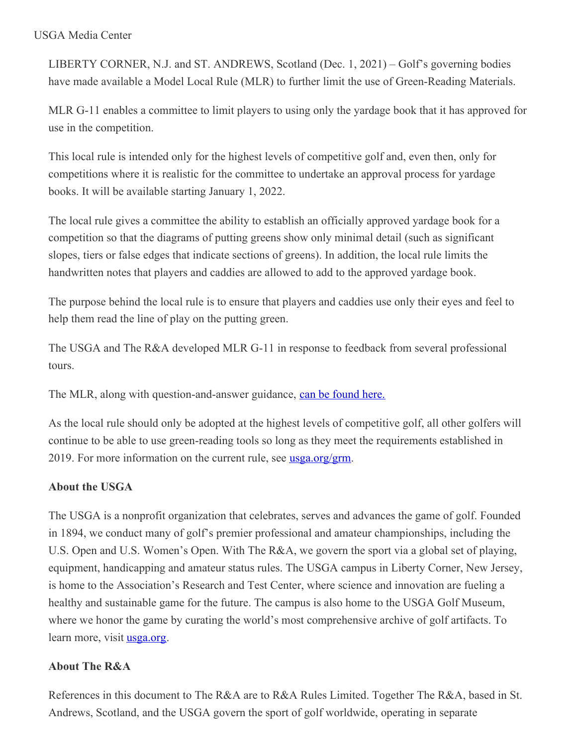## USGA Media Center

LIBERTY CORNER, N.J. and ST. ANDREWS, Scotland (Dec. 1, 2021) – Golf's governing bodies have made available a Model Local Rule (MLR) to further limit the use of Green-Reading Materials.

MLR G-11 enables a committee to limit players to using only the yardage book that it has approved for use in the competition.

This local rule is intended only for the highest levels of competitive golf and, even then, only for competitions where it is realistic for the committee to undertake an approval process for yardage books. It will be available starting January 1, 2022.

The local rule gives a committee the ability to establish an officially approved yardage book for a competition so that the diagrams of putting greens show only minimal detail (such as significant slopes, tiers or false edges that indicate sections of greens). In addition, the local rule limits the handwritten notes that players and caddies are allowed to add to the approved yardage book.

The purpose behind the local rule is to ensure that players and caddies use only their eyes and feel to help them read the line of play on the putting green.

The USGA and The R&A developed MLR G-11 in response to feedback from several professional tours.

The MLR, along with question-and-answer guidance, can be [found](https://www.usga.org/content/dam/usga/pdf/2021/rules/MLR G-11 and Additional Guidance - FINAL.pdf) here.

As the local rule should only be adopted at the highest levels of competitive golf, all other golfers will continue to be able to use green-reading tools so long as they meet the requirements established in 2019. For more information on the current rule, see <u>[usga.org/grm](http://www.usga.org/grm)</u>.

## **About the USGA**

The USGA is a nonprofit organization that celebrates, serves and advances the game of golf. Founded in 1894, we conduct many of golf's premier professional and amateur championships, including the U.S. Open and U.S. Women's Open. With The R&A, we govern the sport via a global set of playing, equipment, handicapping and amateur status rules. The USGA campus in Liberty Corner, New Jersey, is home to the Association's Research and Test Center, where science and innovation are fueling a healthy and sustainable game for the future. The campus is also home to the USGA Golf Museum, where we honor the game by curating the world's most comprehensive archive of golf artifacts. To learn more, visit [usga.org](http://www.usga.org/).

## **About The R&A**

References in this document to The R&A are to R&A Rules Limited. Together The R&A, based in St. Andrews, Scotland, and the USGA govern the sport of golf worldwide, operating in separate